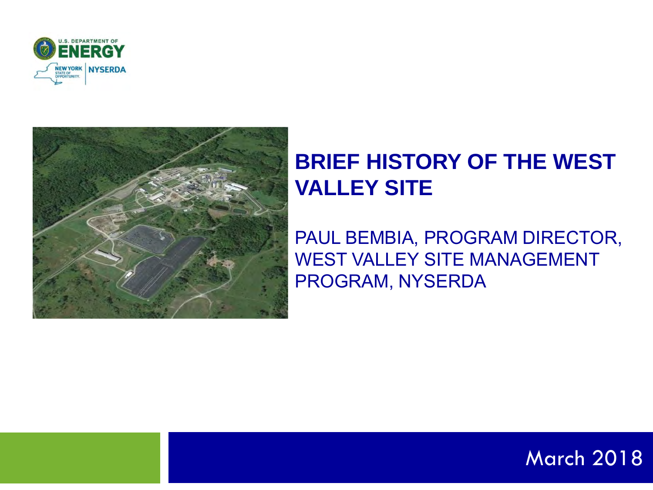



## **BRIEF HISTORY OF THE WEST VALLEY SITE**

PAUL BEMBIA, PROGRAM DIRECTOR, WEST VALLEY SITE MANAGEMENT PROGRAM, NYSERDA

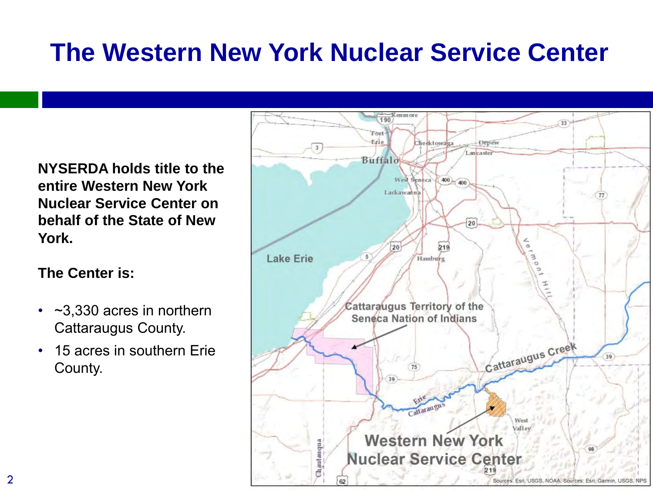# **The Western New York Nuclear Service Center**

**NYSERDA holds title to the entire Western New York Nuclear Service Center on behalf of the State of New York.**

**The Center is:** 

- ~3,330 acres in northern Cattaraugus County.
- 15 acres in southern Erie County.

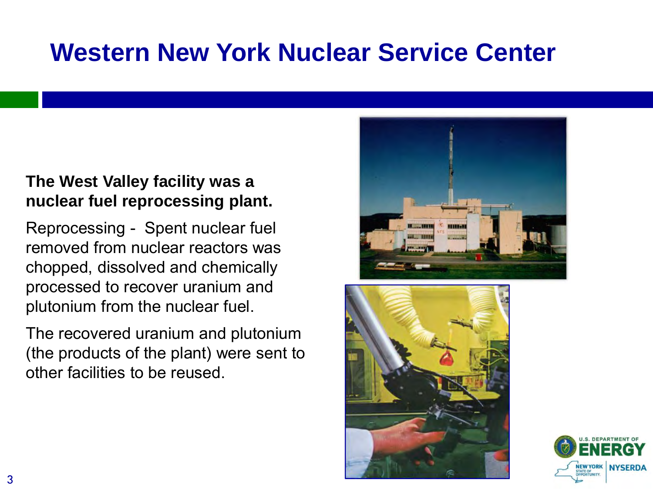# **Western New York Nuclear Service Center**

### **The West Valley facility was a nuclear fuel reprocessing plant.**

Reprocessing - Spent nuclear fuel removed from nuclear reactors was chopped, dissolved and chemically processed to recover uranium and plutonium from the nuclear fuel.

The recovered uranium and plutonium (the products of the plant) were sent to other facilities to be reused.





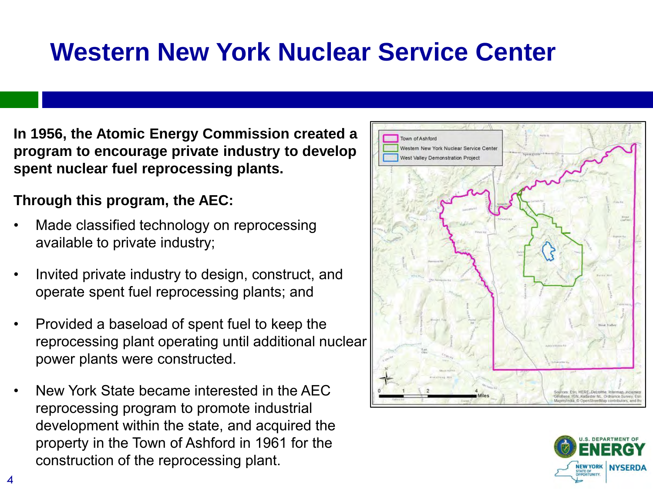## **Western New York Nuclear Service Center**

**In 1956, the Atomic Energy Commission created a program to encourage private industry to develop spent nuclear fuel reprocessing plants.** 

### **Through this program, the AEC:**

- Made classified technology on reprocessing available to private industry;
- Invited private industry to design, construct, and operate spent fuel reprocessing plants; and
- Provided a baseload of spent fuel to keep the reprocessing plant operating until additional nuclear power plants were constructed.
- New York State became interested in the AEC reprocessing program to promote industrial development within the state, and acquired the property in the Town of Ashford in 1961 for the construction of the reprocessing plant.



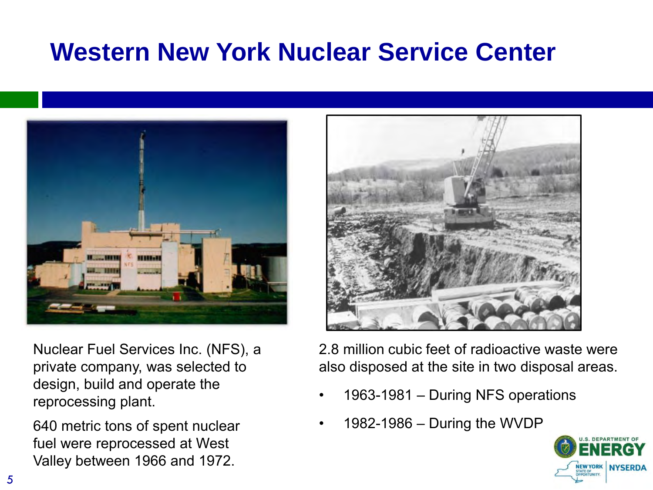# **Western New York Nuclear Service Center**



Nuclear Fuel Services Inc. (NFS), a private company, was selected to design, build and operate the reprocessing plant.

640 metric tons of spent nuclear fuel were reprocessed at West Valley between 1966 and 1972.

2.8 million cubic feet of radioactive waste were also disposed at the site in two disposal areas.

- 1963-1981 During NFS operations
- 1982-1986 During the WVDP

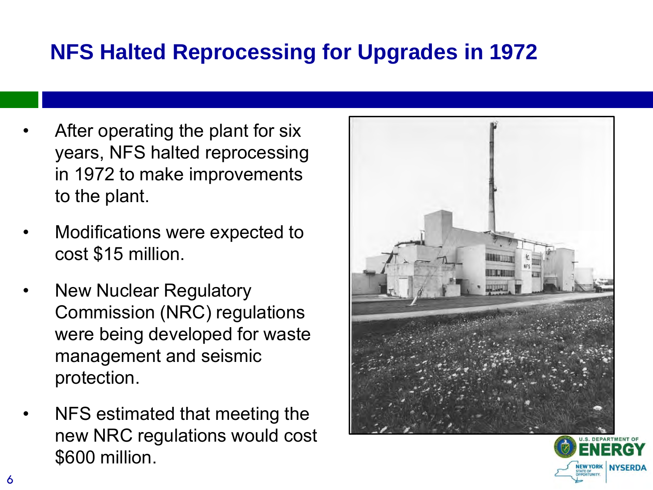## **NFS Halted Reprocessing for Upgrades in 1972**

- After operating the plant for six years, NFS halted reprocessing in 1972 to make improvements to the plant.
- Modifications were expected to cost \$15 million.
- **New Nuclear Regulatory** Commission (NRC) regulations were being developed for waste management and seismic protection.
- NFS estimated that meeting the new NRC regulations would cost \$600 million.



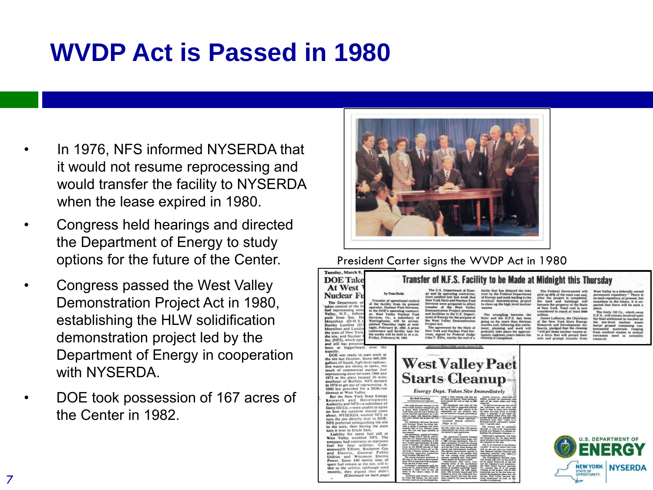# **WVDP Act is Passed in 1980**

- In 1976, NFS informed NYSERDA that it would not resume reprocessing and would transfer the facility to NYSERDA when the lease expired in 1980.
- Congress held hearings and directed the Department of Energy to study options for the future of the Center.
- Congress passed the West Valley Demonstration Project Act in 1980, establishing the HLW solidification demonstration project led by the Department of Energy in cooperation with NYSERDA
- DOE took possession of 167 acres of the Center in 1982.



#### President Carter signs the WVDP Act in 1980Tuesday, March

#### Transfer of N.F.S. Facility to be Made at Midnight this Thursday

At West **Nuclear Ft** The Department car Fuel Se fuel reprocessing control of the reprocessing control of the Valley, N.Y., follow Co. will be as accom<br>st mid-Stanley Lundine (I r nugat at mun<br>25, 1982. A press<br>lacility tour for the state of New Yo the site, and Nuclear

**DOE** Take

and still has poss

DOE was ready to start work at the site last October. Some 600,000<br>gallons of liquid, high-level radioac-<br>tive wastes are sitting in tanks, the

result of commercial nuclear fuel<br>reprocessing done between 1966 and<br>1972 at the plant located 30 miles

cleanup at West Valley. But the New York State Energy<br>Research and Development<br>Authority and NFS-a subsidiary of Getty Oil Co.-were unable to agree<br>on how the turnover should come<br>about. NYSERDA wanted NFS to turn the site directly over to DOE.<br>NFS preferred relinquishing the site to the state, then having the state to the state, then having line state<br>
tann it over to Uncle Sam.<br>
Liability for spent fuel still at<br>
West Valley troubled NFS. The<br>
vest Valley troubled NFS. The<br>
fuel for four utilities: Com-<br>
fuel for four utilities: Com

heast of Buffalo. NFS decided in 1976 to get out of reprocessing. A

and Electric, General Public<br>Utilities and Wisconsin Electric<br>Power, Some 140 metric tons of ent fuel remain at the site, still ti-

thed to the utilities (although until<br>recently, they argued they didn't

(Continued on back page)

The U.S. Department of Ener-<br>
gy and its operating contractor,<br>
were notified late last week that<br>
New York State and Nuclear Fuel<br>
Services were prepared to effect<br>
transfer of the . West Valley Demonstration Project premise<br>and facilities to the U.S. Depar ment of Energy for the purpose of<br>the West Valley Demonstration **Project Act.** 

battle that has delayed the take<br>over by the Federal Department<br>of Roergy and work leading to the<br>eventual demonstration project pick up 90% of the total cost and<br>after the project is completed<br>the land and buildings will eventual demonstration project<br>to clean up the high level nuclear and the first

tar wa

no such rec

West Valley to a fed

**West Valley Pact Starts Cleanup Energy Dept. Takes Site Immediately** 



**NEW YORK NYSERDA** 

STATE OF OPPORTUNITY.

7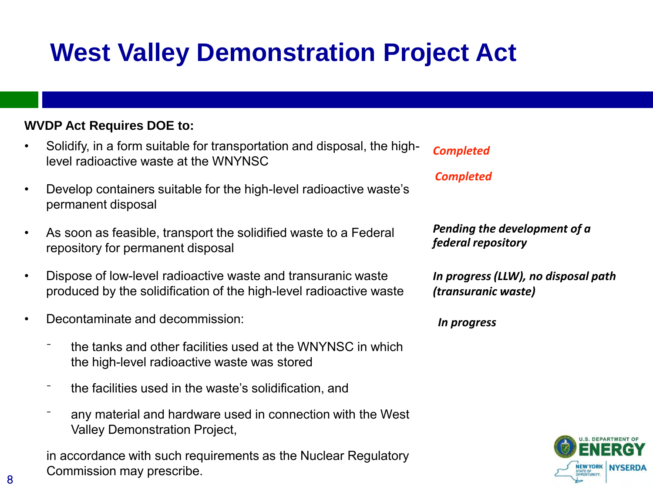# **West Valley Demonstration Project Act**

#### **WVDP Act Requires DOE to:**

- Solidify, in a form suitable for transportation and disposal, the highlevel radioactive waste at the WNYNSC
- Develop containers suitable for the high-level radioactive waste's permanent disposal
- As soon as feasible, transport the solidified waste to a Federal repository for permanent disposal
- Dispose of low-level radioactive waste and transuranic waste produced by the solidification of the high-level radioactive waste
- Decontaminate and decommission:
	- ⁻ the tanks and other facilities used at the WNYNSC in which the high-level radioactive waste was stored
	- ⁻ the facilities used in the waste's solidification, and
	- any material and hardware used in connection with the West Valley Demonstration Project,

in accordance with such requirements as the Nuclear Regulatory Commission may prescribe.

*Completed*

*Completed*

*Pending the development of a federal repository*

*In progress (LLW), no disposal path (transuranic waste)*

*In progress* 



8